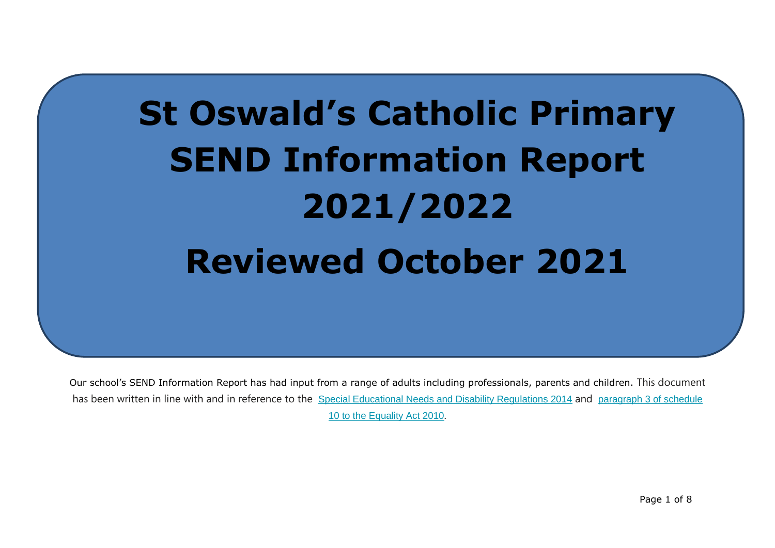# **St Oswald's Catholic Primary SEND Information Report 2021/2022 Reviewed October 2021**

Our school's SEND Information Report has had input from a range of adults including professionals, parents and children. This document has been written in line with and in reference to the Special Educational Needs and Disability [Regulations](http://www.legislation.gov.uk/uksi/2014/1530/contents/made) 2014 and [paragraph](http://www.legislation.gov.uk/ukpga/2010/15/schedule/10) 3 of schedule 10 to the [Equality](http://www.legislation.gov.uk/ukpga/2010/15/schedule/10) Act 2010.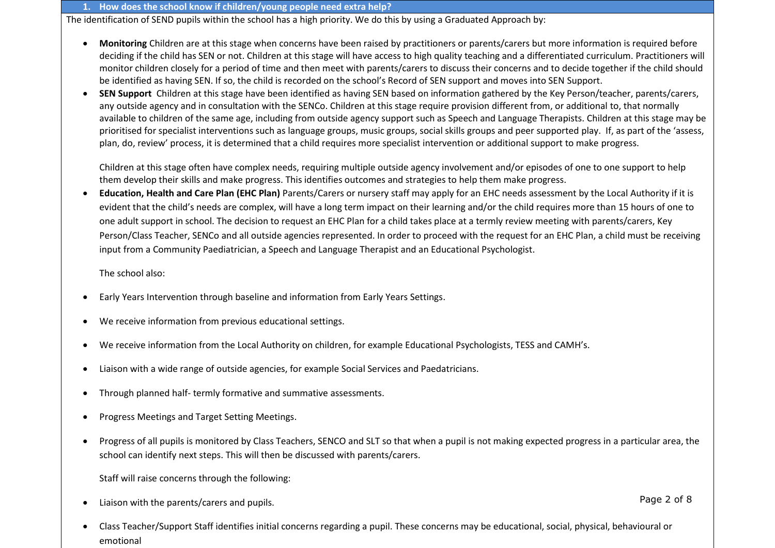### **1. How does the school know if children/young people need extra help?**

The identification of SEND pupils within the school has a high priority. We do this by using a Graduated Approach by:

- **Monitoring** Children are at this stage when concerns have been raised by practitioners or parents/carers but more information is required before deciding if the child has SEN or not. Children at this stage will have access to high quality teaching and a differentiated curriculum. Practitioners will monitor children closely for a period of time and then meet with parents/carers to discuss their concerns and to decide together if the child should be identified as having SEN. If so, the child is recorded on the school's Record of SEN support and moves into SEN Support.
- **SEN Support** Children at this stage have been identified as having SEN based on information gathered by the Key Person/teacher, parents/carers, any outside agency and in consultation with the SENCo. Children at this stage require provision different from, or additional to, that normally available to children of the same age, including from outside agency support such as Speech and Language Therapists. Children at this stage may be prioritised for specialist interventions such as language groups, music groups, social skills groups and peer supported play. If, as part of the 'assess, plan, do, review' process, it is determined that a child requires more specialist intervention or additional support to make progress.

Children at this stage often have complex needs, requiring multiple outside agency involvement and/or episodes of one to one support to help them develop their skills and make progress. This identifies outcomes and strategies to help them make progress.

 **Education, Health and Care Plan (EHC Plan)** Parents/Carers or nursery staff may apply for an EHC needs assessment by the Local Authority if it is evident that the child's needs are complex, will have a long term impact on their learning and/or the child requires more than 15 hours of one to one adult support in school. The decision to request an EHC Plan for a child takes place at a termly review meeting with parents/carers, Key Person/Class Teacher, SENCo and all outside agencies represented. In order to proceed with the request for an EHC Plan, a child must be receiving input from a Community Paediatrician, a Speech and Language Therapist and an Educational Psychologist.

The school also:

- Early Years Intervention through baseline and information from Early Years Settings.
- We receive information from previous educational settings.
- We receive information from the Local Authority on children, for example Educational Psychologists, TESS and CAMH's.
- Liaison with a wide range of outside agencies, for example Social Services and Paedatricians.
- Through planned half- termly formative and summative assessments.
- Progress Meetings and Target Setting Meetings.
- Progress of all pupils is monitored by Class Teachers, SENCO and SLT so that when a pupil is not making expected progress in a particular area, the school can identify next steps. This will then be discussed with parents/carers.

Staff will raise concerns through the following:

Liaison with the parents/carers and pupils.

 Class Teacher/Support Staff identifies initial concerns regarding a pupil. These concerns may be educational, social, physical, behavioural or emotional

Page 2 of 8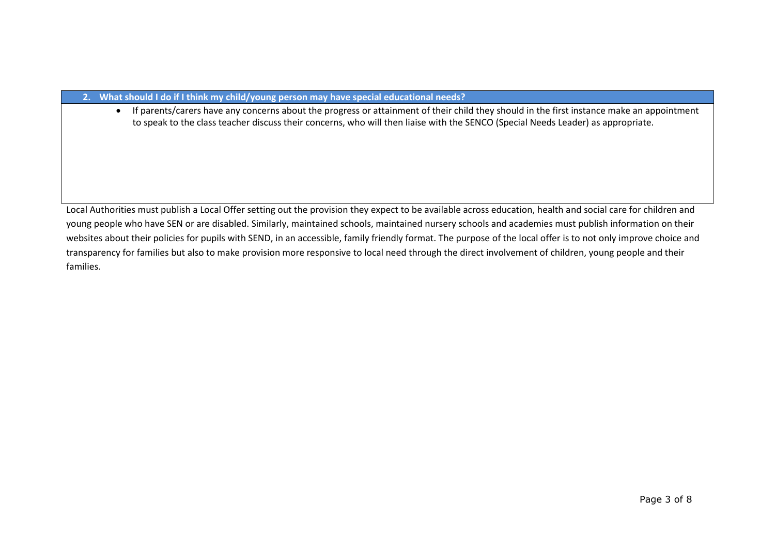# **2. What should I do if I think my child/young person may have special educational needs?**

 If parents/carers have any concerns about the progress or attainment of their child they should in the first instance make an appointment to speak to the class teacher discuss their concerns, who will then liaise with the SENCO (Special Needs Leader) as appropriate.

Local Authorities must publish a Local Offer setting out the provision they expect to be available across education, health and social care for children and young people who have SEN or are disabled. Similarly, maintained schools, maintained nursery schools and academies must publish information on their websites about their policies for pupils with SEND, in an accessible, family friendly format. The purpose of the local offer is to not only improve choice and transparency for families but also to make provision more responsive to local need through the direct involvement of children, young people and their families.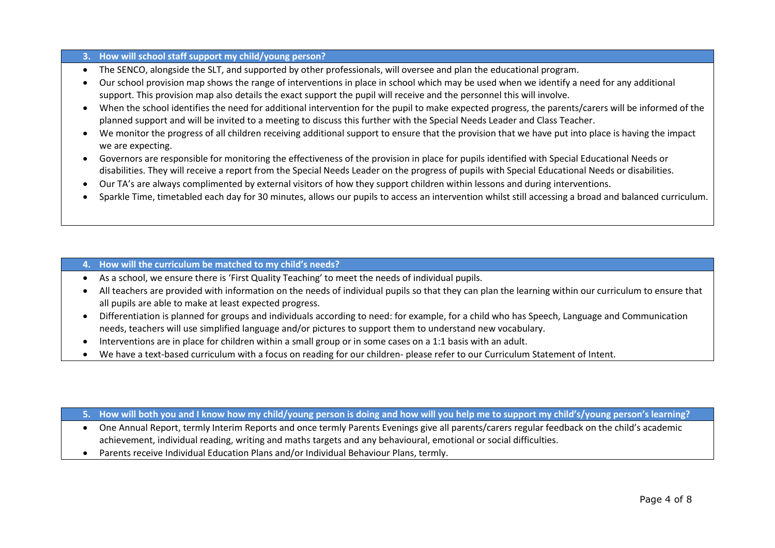# **3. How will school staff support my child/young person?**

- The SENCO, alongside the SLT, and supported by other professionals, will oversee and plan the educational program.
- Our school provision map shows the range of interventions in place in school which may be used when we identify a need for any additional support. This provision map also details the exact support the pupil will receive and the personnel this will involve.
- When the school identifies the need for additional intervention for the pupil to make expected progress, the parents/carers will be informed of the planned support and will be invited to a meeting to discuss this further with the Special Needs Leader and Class Teacher.
- We monitor the progress of all children receiving additional support to ensure that the provision that we have put into place is having the impact we are expecting.
- Governors are responsible for monitoring the effectiveness of the provision in place for pupils identified with Special Educational Needs or disabilities. They will receive a report from the Special Needs Leader on the progress of pupils with Special Educational Needs or disabilities.
- Our TA's are always complimented by external visitors of how they support children within lessons and during interventions.
- Sparkle Time, timetabled each day for 30 minutes, allows our pupils to access an intervention whilst still accessing a broad and balanced curriculum.

# **4. How will the curriculum be matched to my child's needs?**

- As a school, we ensure there is 'First Quality Teaching' to meet the needs of individual pupils.
- All teachers are provided with information on the needs of individual pupils so that they can plan the learning within our curriculum to ensure that all pupils are able to make at least expected progress.
- Differentiation is planned for groups and individuals according to need: for example, for a child who has Speech, Language and Communication needs, teachers will use simplified language and/or pictures to support them to understand new vocabulary.
- Interventions are in place for children within a small group or in some cases on a 1:1 basis with an adult.
- We have a text-based curriculum with a focus on reading for our children- please refer to our Curriculum Statement of Intent.

## **5. How will both you and I know how my child/young person is doing and how will you help me to support my child's/young person's learning?**

- One Annual Report, termly Interim Reports and once termly Parents Evenings give all parents/carers regular feedback on the child's academic achievement, individual reading, writing and maths targets and any behavioural, emotional or social difficulties.
- Parents receive Individual Education Plans and/or Individual Behaviour Plans, termly.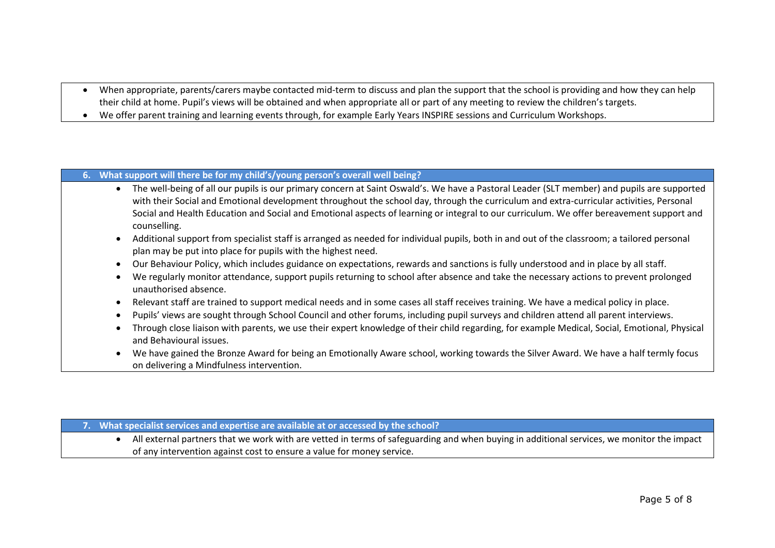- When appropriate, parents/carers maybe contacted mid-term to discuss and plan the support that the school is providing and how they can help their child at home. Pupil's views will be obtained and when appropriate all or part of any meeting to review the children's targets.
- We offer parent training and learning events through, for example Early Years INSPIRE sessions and Curriculum Workshops.

# **6. What support will there be for my child's/young person's overall well being?**

- The well-being of all our pupils is our primary concern at Saint Oswald's. We have a Pastoral Leader (SLT member) and pupils are supported with their Social and Emotional development throughout the school day, through the curriculum and extra-curricular activities, Personal Social and Health Education and Social and Emotional aspects of learning or integral to our curriculum. We offer bereavement support and counselling.
- Additional support from specialist staff is arranged as needed for individual pupils, both in and out of the classroom; a tailored personal plan may be put into place for pupils with the highest need.
- Our Behaviour Policy, which includes guidance on expectations, rewards and sanctions is fully understood and in place by all staff.
- We regularly monitor attendance, support pupils returning to school after absence and take the necessary actions to prevent prolonged unauthorised absence.
- Relevant staff are trained to support medical needs and in some cases all staff receives training. We have a medical policy in place.
- Pupils' views are sought through School Council and other forums, including pupil surveys and children attend all parent interviews.
- Through close liaison with parents, we use their expert knowledge of their child regarding, for example Medical, Social, Emotional, Physical and Behavioural issues.
- We have gained the Bronze Award for being an Emotionally Aware school, working towards the Silver Award. We have a half termly focus on delivering a Mindfulness intervention.

### **7. What specialist services and expertise are available at or accessed by the school?**

 All external partners that we work with are vetted in terms of safeguarding and when buying in additional services, we monitor the impact of any intervention against cost to ensure a value for money service.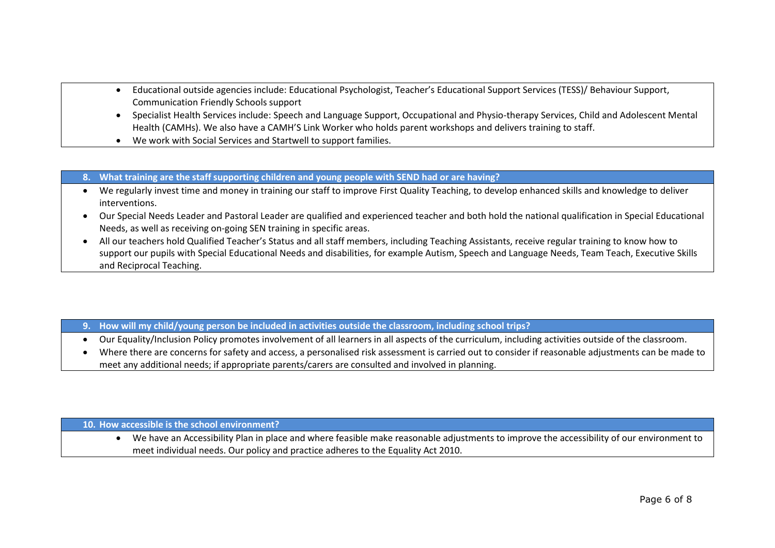- Educational outside agencies include: Educational Psychologist, Teacher's Educational Support Services (TESS)/ Behaviour Support, Communication Friendly Schools support
- Specialist Health Services include: Speech and Language Support, Occupational and Physio-therapy Services, Child and Adolescent Mental Health (CAMHs). We also have a CAMH'S Link Worker who holds parent workshops and delivers training to staff.
- We work with Social Services and Startwell to support families.
- **8. What training are the staff supporting children and young people with SEND had or are having?**
- We regularly invest time and money in training our staff to improve First Quality Teaching, to develop enhanced skills and knowledge to deliver interventions.
- Our Special Needs Leader and Pastoral Leader are qualified and experienced teacher and both hold the national qualification in Special Educational Needs, as well as receiving on-going SEN training in specific areas.
- All our teachers hold Qualified Teacher's Status and all staff members, including Teaching Assistants, receive regular training to know how to support our pupils with Special Educational Needs and disabilities, for example Autism, Speech and Language Needs, Team Teach, Executive Skills and Reciprocal Teaching.
- **9. How will my child/young person be included in activities outside the classroom, including school trips?**
- Our Equality/Inclusion Policy promotes involvement of all learners in all aspects of the curriculum, including activities outside of the classroom.
- Where there are concerns for safety and access, a personalised risk assessment is carried out to consider if reasonable adjustments can be made to meet any additional needs; if appropriate parents/carers are consulted and involved in planning.

**10. How accessible is the school environment?** 

 We have an Accessibility Plan in place and where feasible make reasonable adjustments to improve the accessibility of our environment to meet individual needs. Our policy and practice adheres to the Equality Act 2010.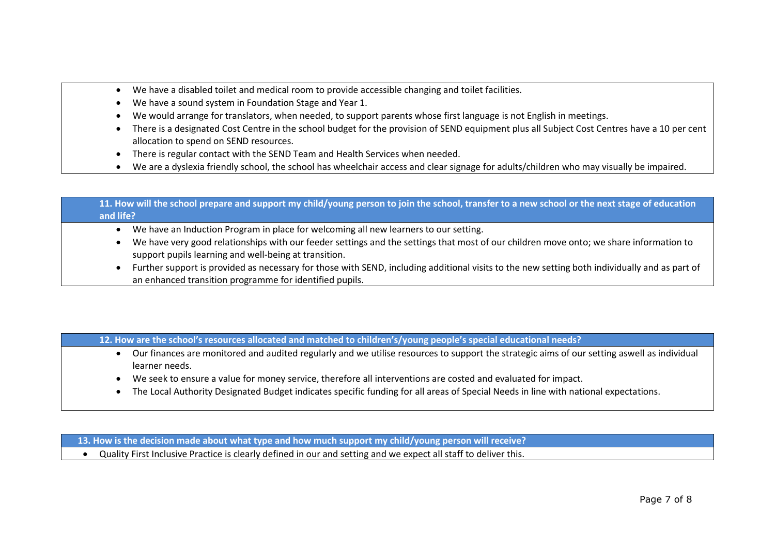- We have a disabled toilet and medical room to provide accessible changing and toilet facilities.
- We have a sound system in Foundation Stage and Year 1.
- We would arrange for translators, when needed, to support parents whose first language is not English in meetings.
- There is a designated Cost Centre in the school budget for the provision of SEND equipment plus all Subject Cost Centres have a 10 per cent allocation to spend on SEND resources.
- There is regular contact with the SEND Team and Health Services when needed.
- We are a dyslexia friendly school, the school has wheelchair access and clear signage for adults/children who may visually be impaired.

# **11. How will the school prepare and support my child/young person to join the school, transfer to a new school or the next stage of education and life?**

- We have an Induction Program in place for welcoming all new learners to our setting.
- We have very good relationships with our feeder settings and the settings that most of our children move onto; we share information to support pupils learning and well-being at transition.
- Further support is provided as necessary for those with SEND, including additional visits to the new setting both individually and as part of an enhanced transition programme for identified pupils.

# **12. How are the school's resources allocated and matched to children's/young people's special educational needs?**

- Our finances are monitored and audited regularly and we utilise resources to support the strategic aims of our setting aswell as individual learner needs.
- We seek to ensure a value for money service, therefore all interventions are costed and evaluated for impact.
- The Local Authority Designated Budget indicates specific funding for all areas of Special Needs in line with national expectations.

 **13. How is the decision made about what type and how much support my child/young person will receive?**

Quality First Inclusive Practice is clearly defined in our and setting and we expect all staff to deliver this.